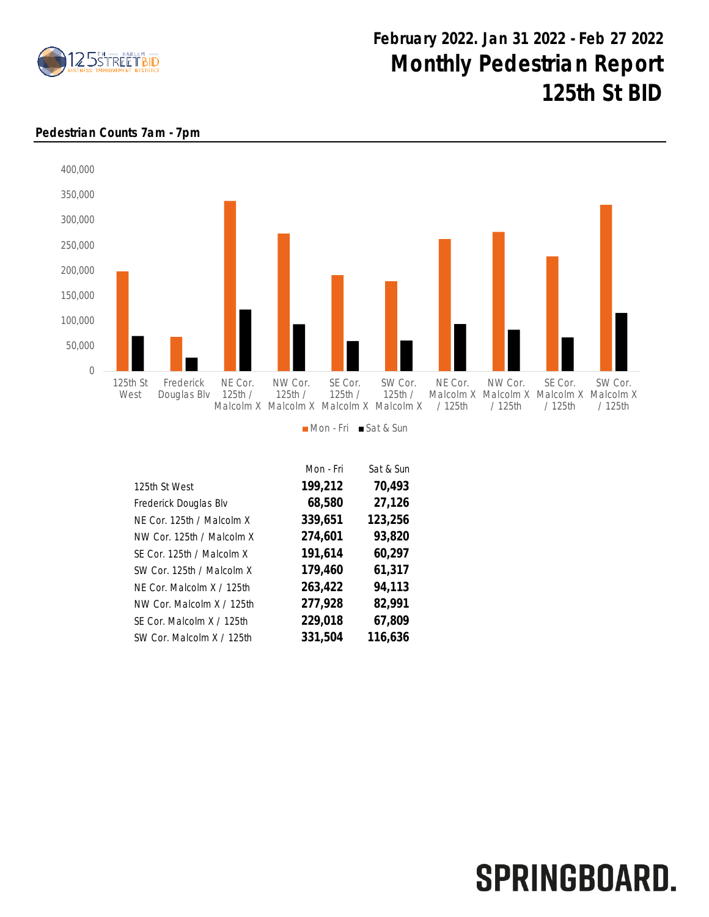

# February 2022. Jan 31 2022 - Feb 27 2022 Monthly Pedestrian Report 125th St BID

### Pedestrian Counts 7am - 7pm



#### Mon - Fri Sat & Sun

|                           | Mon - Fri | Sat & Sun |
|---------------------------|-----------|-----------|
| 125th St West             | 199,212   | 70,493    |
| Frederick Douglas Blv     | 68,580    | 27,126    |
| NE Cor. 125th / Malcolm X | 339,651   | 123,256   |
| NW Cor. 125th / Malcolm X | 274,601   | 93,820    |
| SE Cor. 125th / Malcolm X | 191,614   | 60,297    |
| SW Cor. 125th / Malcolm X | 179,460   | 61,317    |
| NF Cor. Malcolm X / 125th | 263,422   | 94,113    |
| NW Cor. Malcolm X / 125th | 277,928   | 82,991    |
| SE Cor. Malcolm X / 125th | 229,018   | 67,809    |
| SW Cor. Malcolm X / 125th | 331,504   | 116,636   |

# SPRINGBOARD.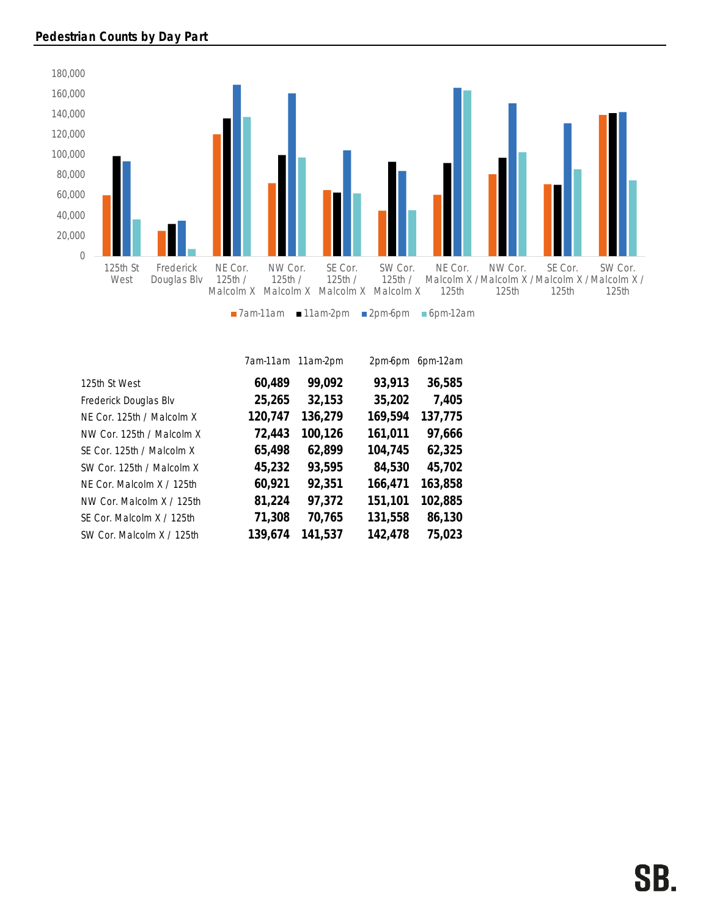

|                           | 7am-11am | 11am-2pm | 2pm-6pm | 6pm-12am |
|---------------------------|----------|----------|---------|----------|
| 125th St West             | 60,489   | 99,092   | 93,913  | 36,585   |
| Frederick Douglas Blv     | 25,265   | 32,153   | 35,202  | 7,405    |
| NE Cor. 125th / Malcolm X | 120,747  | 136,279  | 169,594 | 137,775  |
| NW Cor. 125th / Malcolm X | 72,443   | 100,126  | 161,011 | 97,666   |
| SE Cor. 125th / Malcolm X | 65,498   | 62,899   | 104,745 | 62,325   |
| SW Cor. 125th / Malcolm X | 45,232   | 93,595   | 84,530  | 45,702   |
| NF Cor. Malcolm X / 125th | 60,921   | 92,351   | 166,471 | 163,858  |
| NW Cor. Malcolm X / 125th | 81,224   | 97,372   | 151,101 | 102,885  |
| SF Cor. Malcolm X / 125th | 71,308   | 70,765   | 131,558 | 86,130   |
| SW Cor. Malcolm X / 125th | 139,674  | 141,537  | 142,478 | 75,023   |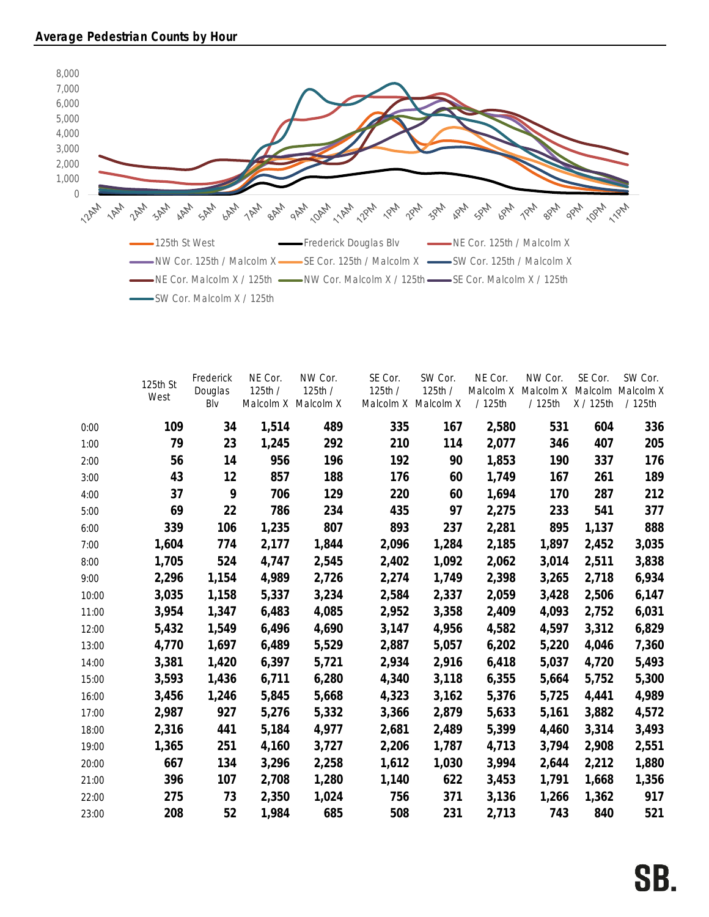

|       | 125th St | Frederick<br>Douglas | NE Cor.<br>125th /  | NW Cor.<br>125th / | SE Cor.<br>125th / | SW Cor.<br>125th /  | NE Cor.<br>Malcolm X | NW Cor.<br>Malcolm X | SE Cor.   | SW Cor.<br>Malcolm Malcolm X |
|-------|----------|----------------------|---------------------|--------------------|--------------------|---------------------|----------------------|----------------------|-----------|------------------------------|
|       | West     | Blv                  | Malcolm X Malcolm X |                    |                    | Malcolm X Malcolm X | /125th               | /125th               | X / 125th | /125th                       |
| 0:00  | 109      | 34                   | 1,514               | 489                | 335                | 167                 | 2,580                | 531                  | 604       | 336                          |
| 1:00  | 79       | 23                   | 1,245               | 292                | 210                | 114                 | 2,077                | 346                  | 407       | 205                          |
| 2:00  | 56       | 14                   | 956                 | 196                | 192                | 90                  | 1,853                | 190                  | 337       | 176                          |
| 3:00  | 43       | 12                   | 857                 | 188                | 176                | 60                  | 1,749                | 167                  | 261       | 189                          |
| 4:00  | 37       | 9                    | 706                 | 129                | 220                | 60                  | 1,694                | 170                  | 287       | 212                          |
| 5:00  | 69       | 22                   | 786                 | 234                | 435                | 97                  | 2,275                | 233                  | 541       | 377                          |
| 6:00  | 339      | 106                  | 1,235               | 807                | 893                | 237                 | 2,281                | 895                  | 1,137     | 888                          |
| 7:00  | 1,604    | 774                  | 2,177               | 1,844              | 2,096              | 1,284               | 2,185                | 1,897                | 2,452     | 3,035                        |
| 8:00  | 1,705    | 524                  | 4,747               | 2,545              | 2,402              | 1,092               | 2,062                | 3,014                | 2,511     | 3,838                        |
| 9:00  | 2,296    | 1,154                | 4,989               | 2,726              | 2,274              | 1,749               | 2,398                | 3,265                | 2,718     | 6,934                        |
| 10:00 | 3,035    | 1,158                | 5,337               | 3,234              | 2,584              | 2,337               | 2,059                | 3,428                | 2,506     | 6,147                        |
| 11:00 | 3,954    | 1,347                | 6,483               | 4,085              | 2,952              | 3,358               | 2,409                | 4,093                | 2,752     | 6,031                        |
| 12:00 | 5,432    | 1,549                | 6,496               | 4,690              | 3,147              | 4,956               | 4,582                | 4,597                | 3,312     | 6,829                        |
| 13:00 | 4,770    | 1,697                | 6,489               | 5,529              | 2,887              | 5,057               | 6,202                | 5,220                | 4,046     | 7,360                        |
| 14:00 | 3,381    | 1,420                | 6,397               | 5,721              | 2,934              | 2,916               | 6,418                | 5,037                | 4,720     | 5,493                        |
| 15:00 | 3,593    | 1,436                | 6,711               | 6,280              | 4,340              | 3,118               | 6,355                | 5,664                | 5,752     | 5,300                        |
| 16:00 | 3,456    | 1,246                | 5,845               | 5,668              | 4,323              | 3,162               | 5,376                | 5,725                | 4,441     | 4,989                        |
| 17:00 | 2,987    | 927                  | 5,276               | 5,332              | 3,366              | 2,879               | 5,633                | 5,161                | 3,882     | 4,572                        |
| 18:00 | 2,316    | 441                  | 5,184               | 4,977              | 2,681              | 2,489               | 5,399                | 4,460                | 3,314     | 3,493                        |
| 19:00 | 1,365    | 251                  | 4,160               | 3,727              | 2,206              | 1,787               | 4,713                | 3,794                | 2,908     | 2,551                        |
| 20:00 | 667      | 134                  | 3,296               | 2,258              | 1,612              | 1,030               | 3,994                | 2,644                | 2,212     | 1,880                        |
| 21:00 | 396      | 107                  | 2,708               | 1,280              | 1,140              | 622                 | 3,453                | 1,791                | 1,668     | 1,356                        |
| 22:00 | 275      | 73                   | 2,350               | 1,024              | 756                | 371                 | 3,136                | 1,266                | 1,362     | 917                          |
| 23:00 | 208      | 52                   | 1,984               | 685                | 508                | 231                 | 2,713                | 743                  | 840       | 521                          |